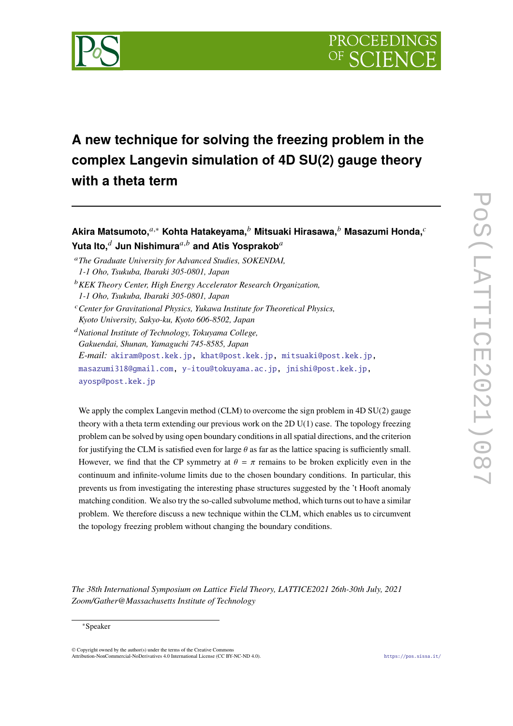

# **A new technique for solving the freezing problem in the complex Langevin simulation of 4D SU(2) gauge theory with a theta term**

**Akira Matsumoto,**,<sup>∗</sup> **Kohta Hatakeyama, Mitsuaki Hirasawa, Masazumi Honda,** Yuta Ito,<sup>d</sup> Jun Nishimura<sup>a,b</sup> and Atis Yosprakob<sup>a</sup>

*The Graduate University for Advanced Studies, SOKENDAI,*

*<sup>1-1</sup> Oho, Tsukuba, Ibaraki 305-0801, Japan*

*KEK Theory Center, High Energy Accelerator Research Organization,*

*<sup>1-1</sup> Oho, Tsukuba, Ibaraki 305-0801, Japan*

*Center for Gravitational Physics, Yukawa Institute for Theoretical Physics, Kyoto University, Sakyo-ku, Kyoto 606-8502, Japan*

*National Institute of Technology, Tokuyama College, Gakuendai, Shunan, Yamaguchi 745-8585, Japan E-mail:* [akiram@post.kek.jp,](mailto:akiram@post.kek.jp) [khat@post.kek.jp,](mailto:khat@post.kek.jp) [mitsuaki@post.kek.jp,](mailto:mitsuaki@post.kek.jp) [masazumi318@gmail.com,](mailto:masazumi318@gmail.com) [y-itou@tokuyama.ac.jp,](mailto:y-itou@tokuyama.ac.jp) [jnishi@post.kek.jp,](mailto:jnishi@post.kek.jp) [ayosp@post.kek.jp](mailto:ayosp@post.kek.jp)

We apply the complex Langevin method (CLM) to overcome the sign problem in 4D SU(2) gauge theory with a theta term extending our previous work on the  $2D U(1)$  case. The topology freezing problem can be solved by using open boundary conditions in all spatial directions, and the criterion for justifying the CLM is satisfied even for large  $\theta$  as far as the lattice spacing is sufficiently small. However, we find that the CP symmetry at  $\theta = \pi$  remains to be broken explicitly even in the continuum and infinite-volume limits due to the chosen boundary conditions. In particular, this prevents us from investigating the interesting phase structures suggested by the 't Hooft anomaly matching condition. We also try the so-called subvolume method, which turns out to have a similar problem. We therefore discuss a new technique within the CLM, which enables us to circumvent the topology freezing problem without changing the boundary conditions.

*The 38th International Symposium on Lattice Field Theory, LATTICE2021 26th-30th July, 2021 Zoom/Gather@Massachusetts Institute of Technology*

<sup>∗</sup>Speaker

<sup>©</sup> Copyright owned by the author(s) under the terms of the Creative Commons Attribution-NonCommercial-NoDerivatives 4.0 International License (CC BY-NC-ND 4.0). <https://pos.sissa.it/>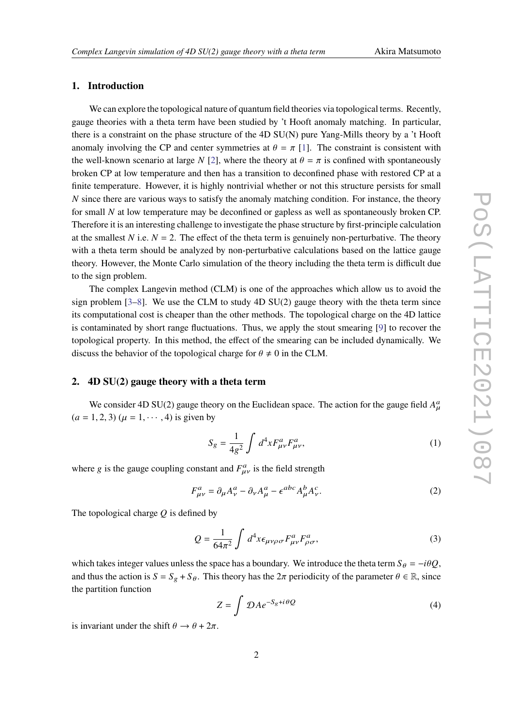# **1. Introduction**

We can explore the topological nature of quantum field theories via topological terms. Recently, gauge theories with a theta term have been studied by 't Hooft anomaly matching. In particular, there is a constraint on the phase structure of the 4D SU(N) pure Yang-Mills theory by a 't Hooft anomaly involving the CP and center symmetries at  $\theta = \pi$  [\[1\]](#page-8-0). The constraint is consistent with the well-known scenario at large N [\[2\]](#page-8-1), where the theory at  $\theta = \pi$  is confined with spontaneously broken CP at low temperature and then has a transition to deconfined phase with restored CP at a finite temperature. However, it is highly nontrivial whether or not this structure persists for small  *since there are various ways to satisfy the anomaly matching condition. For instance, the theory* for small  $N$  at low temperature may be deconfined or gapless as well as spontaneously broken CP. Therefore it is an interesting challenge to investigate the phase structure by first-principle calculation at the smallest N i.e.  $N = 2$ . The effect of the theta term is genuinely non-perturbative. The theory with a theta term should be analyzed by non-perturbative calculations based on the lattice gauge theory. However, the Monte Carlo simulation of the theory including the theta term is difficult due to the sign problem.

The complex Langevin method (CLM) is one of the approaches which allow us to avoid the sign problem  $[3-8]$  $[3-8]$ . We use the CLM to study 4D SU(2) gauge theory with the theta term since its computational cost is cheaper than the other methods. The topological charge on the 4D lattice is contaminated by short range fluctuations. Thus, we apply the stout smearing [\[9\]](#page-8-4) to recover the topological property. In this method, the effect of the smearing can be included dynamically. We discuss the behavior of the topological charge for  $\theta \neq 0$  in the CLM.

# **2. 4D SU(2) gauge theory with a theta term**

We consider 4D SU(2) gauge theory on the Euclidean space. The action for the gauge field  $A_u^a$  $(a = 1, 2, 3)$   $(\mu = 1, \dots, 4)$  is given by

$$
S_g = \frac{1}{4g^2} \int d^4x F^a_{\mu\nu} F^a_{\mu\nu},
$$
 (1)

where g is the gauge coupling constant and  $F_{uv}^a$  is the field strength

$$
F_{\mu\nu}^a = \partial_{\mu}A_{\nu}^a - \partial_{\nu}A_{\mu}^a - \epsilon^{abc}A_{\mu}^b A_{\nu}^c.
$$
 (2)

The topological charge  $Q$  is defined by

$$
Q = \frac{1}{64\pi^2} \int d^4x \epsilon_{\mu\nu\rho\sigma} F^a_{\mu\nu} F^a_{\rho\sigma},
$$
 (3)

which takes integer values unless the space has a boundary. We introduce the theta term  $S_\theta = -i\theta Q$ , and thus the action is  $S = S_g + S_\theta$ . This theory has the  $2\pi$  periodicity of the parameter  $\theta \in \mathbb{R}$ , since the partition function

$$
Z = \int \mathcal{D}A e^{-S_g + i\theta Q} \tag{4}
$$

is invariant under the shift  $\theta \rightarrow \theta + 2\pi$ .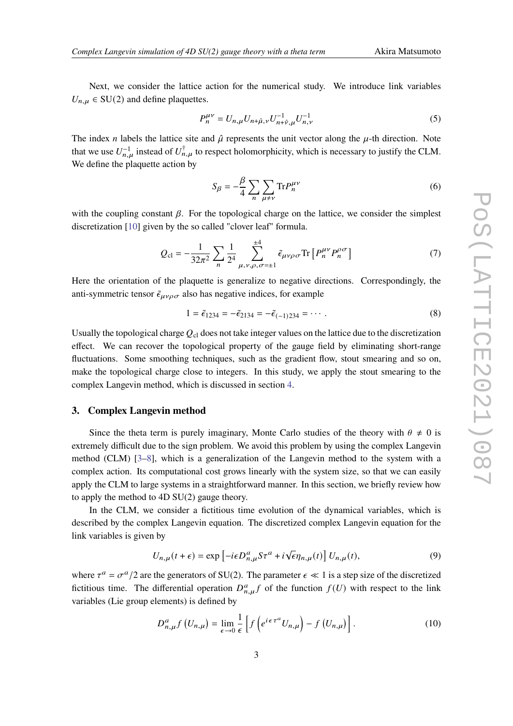Next, we consider the lattice action for the numerical study. We introduce link variables  $U_{n,\mu} \in SU(2)$  and define plaquettes.

$$
P_n^{\mu\nu} = U_{n,\mu} U_{n+\hat{\mu},\nu} U_{n+\hat{\nu},\mu}^{-1} U_{n,\nu}^{-1}
$$
 (5)

The index *n* labels the lattice site and  $\hat{\mu}$  represents the unit vector along the  $\mu$ -th direction. Note that we use  $U_{n,\mu}^{-1}$  instead of  $U_{n,\mu}^{\dagger}$  to respect holomorphicity, which is necessary to justify the CLM. We define the plaquette action by

$$
S_{\beta} = -\frac{\beta}{4} \sum_{n} \sum_{\mu \neq \nu} \text{Tr} P_n^{\mu \nu} \tag{6}
$$

with the coupling constant  $\beta$ . For the topological charge on the lattice, we consider the simplest discretization [\[10\]](#page-8-5) given by the so called "clover leaf" formula.

<span id="page-2-0"></span>
$$
Q_{\rm cl} = -\frac{1}{32\pi^2} \sum_{n} \frac{1}{2^4} \sum_{\mu,\nu,\rho,\sigma=\pm 1}^{\pm 4} \tilde{\epsilon}_{\mu\nu\rho\sigma} \text{Tr} \left[ P_n^{\mu\nu} P_n^{\rho\sigma} \right]
$$
(7)

Here the orientation of the plaquette is generalize to negative directions. Correspondingly, the anti-symmetric tensor  $\tilde{\epsilon}_{\mu\nu\rho\sigma}$  also has negative indices, for example

$$
1 = \tilde{\epsilon}_{1234} = -\tilde{\epsilon}_{2134} = -\tilde{\epsilon}_{(-1)234} = \cdots
$$
 (8)

Usually the topological charge  $Q_{cl}$  does not take integer values on the lattice due to the discretization effect. We can recover the topological property of the gauge field by eliminating short-range fluctuations. Some smoothing techniques, such as the gradient flow, stout smearing and so on, make the topological charge close to integers. In this study, we apply the stout smearing to the complex Langevin method, which is discussed in section [4.](#page-3-0)

## **3. Complex Langevin method**

Since the theta term is purely imaginary. Monte Carlo studies of the theory with  $\theta \neq 0$  is extremely difficult due to the sign problem. We avoid this problem by using the complex Langevin method (CLM) [\[3](#page-8-2)[–8\]](#page-8-3), which is a generalization of the Langevin method to the system with a complex action. Its computational cost grows linearly with the system size, so that we can easily apply the CLM to large systems in a straightforward manner. In this section, we briefly review how to apply the method to 4D SU(2) gauge theory.

In the CLM, we consider a fictitious time evolution of the dynamical variables, which is described by the complex Langevin equation. The discretized complex Langevin equation for the link variables is given by

$$
U_{n,\mu}(t+\epsilon) = \exp\left[-i\epsilon D_{n,\mu}^a S \tau^a + i\sqrt{\epsilon}\eta_{n,\mu}(t)\right] U_{n,\mu}(t),\tag{9}
$$

where  $\tau^a = \sigma^a/2$  are the generators of SU(2). The parameter  $\epsilon \ll 1$  is a step size of the discretized fictitious time. The differential operation  $D_{n,u}^a f$  of the function  $f(U)$  with respect to the link variables (Lie group elements) is defined by

$$
D_{n,\mu}^a f\left(U_{n,\mu}\right) = \lim_{\epsilon \to 0} \frac{1}{\epsilon} \left[ f\left(e^{i\epsilon \tau^a} U_{n,\mu}\right) - f\left(U_{n,\mu}\right) \right]. \tag{10}
$$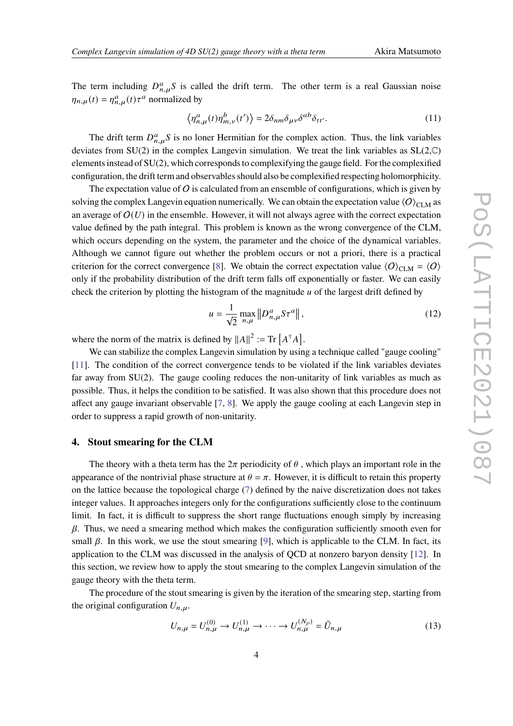The term including  $D_{n,\mu}^a S$  is called the drift term. The other term is a real Gaussian noise  $\eta_{n,\mu}(t) = \eta_{n,\mu}^a(t) \tau^a$  normalized by

$$
\langle \eta_{n,u}^a(t) \eta_{m,\nu}^b(t') \rangle = 2 \delta_{nm} \delta_{\mu\nu} \delta^{ab} \delta_{tt'}.
$$
 (11)

The drift term  $D_{n,u}^a S$  is no loner Hermitian for the complex action. Thus, the link variables deviates from  $SU(2)$  in the complex Langevin simulation. We treat the link variables as  $SL(2,\mathbb{C})$ elements instead of SU(2), which corresponds to complexifying the gauge field. For the complexified configuration, the drift term and observables should also be complexified respecting holomorphicity.

The expectation value of  $\overline{O}$  is calculated from an ensemble of configurations, which is given by solving the complex Langevin equation numerically. We can obtain the expectation value  $\langle O \rangle_{\text{CLM}}$  as an average of  $O(U)$  in the ensemble. However, it will not always agree with the correct expectation value defined by the path integral. This problem is known as the wrong convergence of the CLM, which occurs depending on the system, the parameter and the choice of the dynamical variables. Although we cannot figure out whether the problem occurs or not a priori, there is a practical criterion for the correct convergence [\[8\]](#page-8-3). We obtain the correct expectation value  $\langle O \rangle_{\text{CLM}} = \langle O \rangle$ only if the probability distribution of the drift term falls off exponentially or faster. We can easily check the criterion by plotting the histogram of the magnitude  $u$  of the largest drift defined by

<span id="page-3-2"></span>
$$
u = \frac{1}{\sqrt{2}} \max_{n,\mu} \| D_{n,\mu}^a S \tau^a \|,
$$
 (12)

where the norm of the matrix is defined by  $||A||^2 := \text{Tr} [A^{\dagger}A]$ .

We can stabilize the complex Langevin simulation by using a technique called "gauge cooling" [\[11\]](#page-8-6). The condition of the correct convergence tends to be violated if the link variables deviates far away from SU(2). The gauge cooling reduces the non-unitarity of link variables as much as possible. Thus, it helps the condition to be satisfied. It was also shown that this procedure does not affect any gauge invariant observable [\[7,](#page-8-7) [8\]](#page-8-3). We apply the gauge cooling at each Langevin step in order to suppress a rapid growth of non-unitarity.

#### <span id="page-3-0"></span>**4. Stout smearing for the CLM**

The theory with a theta term has the  $2\pi$  periodicity of  $\theta$ , which plays an important role in the appearance of the nontrivial phase structure at  $\theta = \pi$ . However, it is difficult to retain this property on the lattice because the topological charge  $(7)$  defined by the naive discretization does not takes integer values. It approaches integers only for the configurations sufficiently close to the continuum limit. In fact, it is difficult to suppress the short range fluctuations enough simply by increasing  $\beta$ . Thus, we need a smearing method which makes the configuration sufficiently smooth even for small  $\beta$ . In this work, we use the stout smearing [\[9\]](#page-8-4), which is applicable to the CLM. In fact, its application to the CLM was discussed in the analysis of QCD at nonzero baryon density [\[12\]](#page-8-8). In this section, we review how to apply the stout smearing to the complex Langevin simulation of the gauge theory with the theta term.

The procedure of the stout smearing is given by the iteration of the smearing step, starting from the original configuration  $U_{n,\mu}$ .

<span id="page-3-1"></span>
$$
U_{n,\mu} = U_{n,\mu}^{(0)} \to U_{n,\mu}^{(1)} \to \cdots \to U_{n,\mu}^{(N_{\rho})} = \tilde{U}_{n,\mu}
$$
 (13)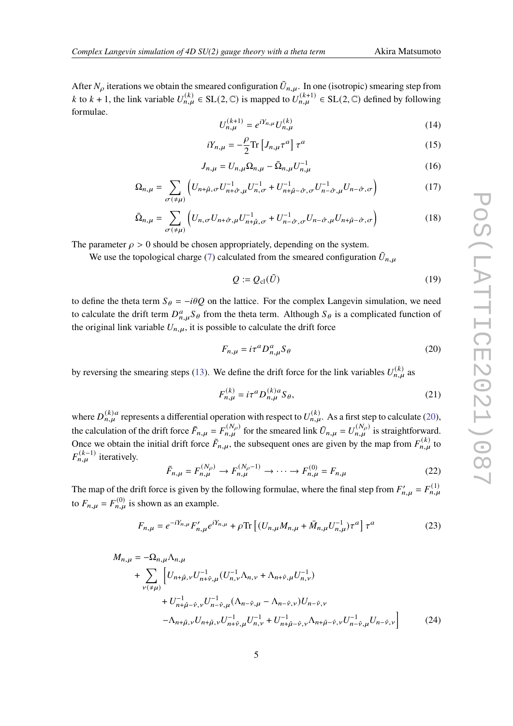After  $N_{\rho}$  iterations we obtain the smeared configuration  $\tilde{U}_{n,\mu}$ . In one (isotropic) smearing step from k to  $k + 1$ , the link variable  $U_{n,\mu}^{(k)} \in SL(2,\mathbb{C})$  is mapped to  $U_{n,\mu}^{(k+1)} \in SL(2,\mathbb{C})$  defined by following formulae.

$$
U_{n,\mu}^{(k+1)} = e^{iY_{n,\mu}} U_{n,\mu}^{(k)}
$$
\n(14)

<span id="page-4-1"></span>
$$
iY_{n,\mu} = -\frac{\rho}{2} \text{Tr} \left[ J_{n,\mu} \tau^a \right] \tau^a \tag{15}
$$

$$
J_{n,\mu} = U_{n,\mu} \Omega_{n,\mu} - \bar{\Omega}_{n,\mu} U_{n,\mu}^{-1}
$$
 (16)

<span id="page-4-2"></span>
$$
\Omega_{n,\mu} = \sum_{\sigma(\neq \mu)} \left( U_{n+\hat{\mu},\sigma} U_{n+\hat{\sigma},\mu}^{-1} U_{n,\sigma}^{-1} + U_{n+\hat{\mu}-\hat{\sigma},\sigma}^{-1} U_{n-\hat{\sigma},\mu}^{-1} U_{n-\hat{\sigma},\sigma} \right) \tag{17}
$$

<span id="page-4-3"></span>
$$
\bar{\Omega}_{n,\mu} = \sum_{\sigma(\neq\mu)} \left( U_{n,\sigma} U_{n+\hat{\sigma},\mu} U_{n+\hat{\mu},\sigma}^{-1} + U_{n-\hat{\sigma},\sigma}^{-1} U_{n-\hat{\sigma},\mu} U_{n+\hat{\mu}-\hat{\sigma},\sigma} \right) \tag{18}
$$

The parameter  $\rho > 0$  should be chosen appropriately, depending on the system.

We use the topological charge [\(7\)](#page-2-0) calculated from the smeared configuration  $\tilde{U}_{n,\mu}$ 

<span id="page-4-4"></span>
$$
Q := Q_{\text{cl}}(\tilde{U}) \tag{19}
$$

to define the theta term  $S_{\theta} = -i\theta Q$  on the lattice. For the complex Langevin simulation, we need to calculate the drift term  $D_{n,u}^a S_\theta$  from the theta term. Although  $S_\theta$  is a complicated function of the original link variable  $U_{n,\mu}$ , it is possible to calculate the drift force

<span id="page-4-0"></span>
$$
F_{n,\mu} = i\tau^a D_{n,\mu}^a S_\theta \tag{20}
$$

by reversing the smearing steps [\(13\)](#page-3-1). We define the drift force for the link variables  $U_{n,\mu}^{(k)}$  as

$$
F_{n,\mu}^{(k)} = i\tau^a D_{n,\mu}^{(k)a} S_{\theta},\tag{21}
$$

where  $D_{n,\mu}^{(k)a}$  represents a differential operation with respect to  $U_{n,\mu}^{(k)}$ . As a first step to calculate [\(20\)](#page-4-0), the calculation of the drift force  $\tilde{F}_{n,\mu} = F_{n,\mu}^{(N_\rho)}$  for the smeared link  $\tilde{U}_{n,\mu} = U_{n,\mu}^{(N_\rho)}$  is straightforward. Once we obtain the initial drift force  $\tilde{F}_{n,\mu}$ , the subsequent ones are given by the map from  $F_{n,\mu}^{(k)}$  to  $F_{n,\mu}^{(k-1)}$  iteratively.

$$
\tilde{F}_{n,\mu} = F_{n,\mu}^{(N_{\rho})} \to F_{n,\mu}^{(N_{\rho}-1)} \to \cdots \to F_{n,\mu}^{(0)} = F_{n,\mu}
$$
\n(22)

The map of the drift force is given by the following formulae, where the final step from  $F'_{n,u} = F_{n,u}^{(1)}$ to  $F_{n,\mu} = F_{n,\mu}^{(0)}$  is shown as an example.

$$
F_{n,\mu} = e^{-iY_{n,\mu}} F'_{n,\mu} e^{iY_{n,\mu}} + \rho \text{Tr} \left[ (U_{n,\mu} M_{n,\mu} + \bar{M}_{n,\mu} U_{n,\mu}^{-1}) \tau^a \right] \tau^a \tag{23}
$$

$$
M_{n,\mu} = -\Omega_{n,\mu} \Lambda_{n,\mu}
$$
  
+ 
$$
\sum_{\nu(\neq\mu)} \left[ U_{n+\hat{\mu},\nu} U_{n+\hat{\nu},\mu}^{-1} (U_{n,\nu}^{-1} \Lambda_{n,\nu} + \Lambda_{n+\hat{\nu},\mu} U_{n,\nu}^{-1}) + U_{n+\hat{\mu}-\hat{\nu},\nu}^{-1} U_{n-\hat{\nu},\mu}^{-1} (\Lambda_{n-\hat{\nu},\mu} - \Lambda_{n-\hat{\nu},\nu}) U_{n-\hat{\nu},\nu} -\Lambda_{n+\hat{\mu},\nu} U_{n+\hat{\mu},\nu} U_{n+\hat{\nu},\mu}^{-1} U_{n,\nu}^{-1} + U_{n+\hat{\mu}-\hat{\nu},\nu}^{-1} \Lambda_{n+\hat{\mu},\nu} U_{n-\hat{\nu},\mu}^{-1} U_{n-\hat{\nu},\nu}^{-1} (24) \right]
$$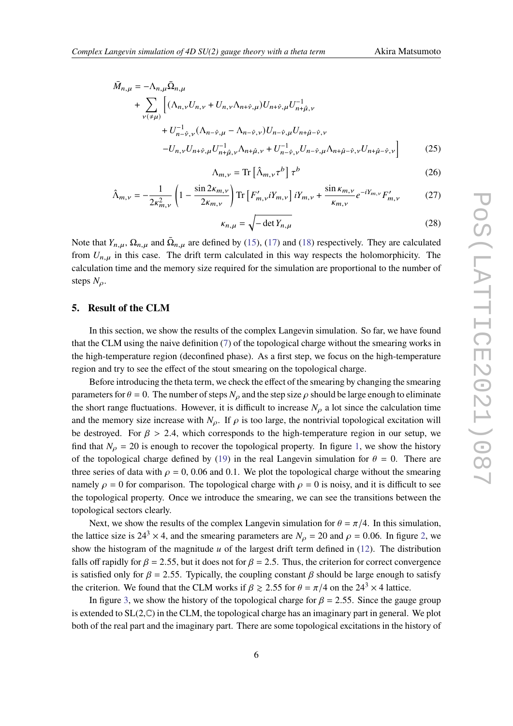$$
\bar{M}_{n,\mu} = -\Lambda_{n,\mu} \bar{\Omega}_{n,\mu} \n+ \sum_{\nu(\neq \mu)} \left[ (\Lambda_{n,\nu} U_{n,\nu} + U_{n,\nu} \Lambda_{n+\hat{\nu},\mu}) U_{n+\hat{\nu},\mu} U_{n+\hat{\mu},\nu}^{-1} \right. \n+ U_{n-\hat{\nu},\nu}^{-1} (\Lambda_{n-\hat{\nu},\mu} - \Lambda_{n-\hat{\nu},\nu}) U_{n-\hat{\nu},\mu} U_{n+\hat{\mu}-\hat{\nu},\nu} \n- U_{n,\nu} U_{n+\hat{\nu},\mu} U_{n+\hat{\mu},\nu}^{-1} \Lambda_{n+\hat{\mu},\nu} + U_{n-\hat{\nu},\nu}^{-1} U_{n-\hat{\nu},\mu} \Lambda_{n+\hat{\mu}-\hat{\nu},\nu} U_{n+\hat{\mu}-\hat{\nu},\nu} \right]
$$
\n(25)

 $\Lambda_{m,\nu} = \text{Tr} \left[ \hat{\Lambda}_{m,\nu} \tau^b \right] \tau^b$ (26)

$$
\hat{\Lambda}_{m,\nu} = -\frac{1}{2\kappa_{m,\nu}^2} \left( 1 - \frac{\sin 2\kappa_{m,\nu}}{2\kappa_{m,\nu}} \right) \text{Tr} \left[ F'_{m,\nu} i Y_{m,\nu} \right] i Y_{m,\nu} + \frac{\sin \kappa_{m,\nu}}{\kappa_{m,\nu}} e^{-i Y_{m,\nu}} F'_{m,\nu} \tag{27}
$$

$$
\kappa_{n,\mu} = \sqrt{-\det Y_{n,\mu}}\tag{28}
$$

Note that  $Y_{n,\mu}$ ,  $\Omega_{n,\mu}$  and  $\overline{\Omega}_{n,\mu}$  are defined by [\(15\)](#page-4-1), [\(17\)](#page-4-2) and [\(18\)](#page-4-3) respectively. They are calculated from  $U_{n,\mu}$  in this case. The drift term calculated in this way respects the holomorphicity. The calculation time and the memory size required for the simulation are proportional to the number of steps  $N_{\rho}$ .

# **5. Result of the CLM**

In this section, we show the results of the complex Langevin simulation. So far, we have found that the CLM using the naive definition [\(7\)](#page-2-0) of the topological charge without the smearing works in the high-temperature region (deconfined phase). As a first step, we focus on the high-temperature region and try to see the effect of the stout smearing on the topological charge.

Before introducing the theta term, we check the effect of the smearing by changing the smearing parameters for  $\theta = 0$ . The number of steps  $N_{\rho}$  and the step size  $\rho$  should be large enough to eliminate the short range fluctuations. However, it is difficult to increase  $N<sub>o</sub>$  a lot since the calculation time and the memory size increase with  $N_{\rho}$ . If  $\rho$  is too large, the nontrivial topological excitation will be destroyed. For  $\beta > 2.4$ , which corresponds to the high-temperature region in our setup, we find that  $N_{\rho} = 20$  is enough to recover the topological property. In figure [1,](#page-6-0) we show the history of the topological charge defined by [\(19\)](#page-4-4) in the real Langevin simulation for  $\theta = 0$ . There are three series of data with  $\rho = 0$ , 0.06 and 0.1. We plot the topological charge without the smearing namely  $\rho = 0$  for comparison. The topological charge with  $\rho = 0$  is noisy, and it is difficult to see the topological property. Once we introduce the smearing, we can see the transitions between the topological sectors clearly.

Next, we show the results of the complex Langevin simulation for  $\theta = \pi/4$ . In this simulation, the lattice size is  $24^3 \times 4$ , and the smearing parameters are  $N_\rho = 20$  and  $\rho = 0.06$ . In figure [2,](#page-6-1) we show the histogram of the magnitude  $u$  of the largest drift term defined in [\(12\)](#page-3-2). The distribution falls off rapidly for  $\beta = 2.55$ , but it does not for  $\beta = 2.5$ . Thus, the criterion for correct convergence is satisfied only for  $\beta = 2.55$ . Typically, the coupling constant  $\beta$  should be large enough to satisfy the criterion. We found that the CLM works if  $\beta \ge 2.55$  for  $\theta = \pi/4$  on the 24<sup>3</sup>  $\times$  4 lattice.

In figure [3,](#page-7-0) we show the history of the topological charge for  $\beta = 2.55$ . Since the gauge group is extended to  $SL(2,\mathbb{C})$  in the CLM, the topological charge has an imaginary part in general. We plot both of the real part and the imaginary part. There are some topological excitations in the history of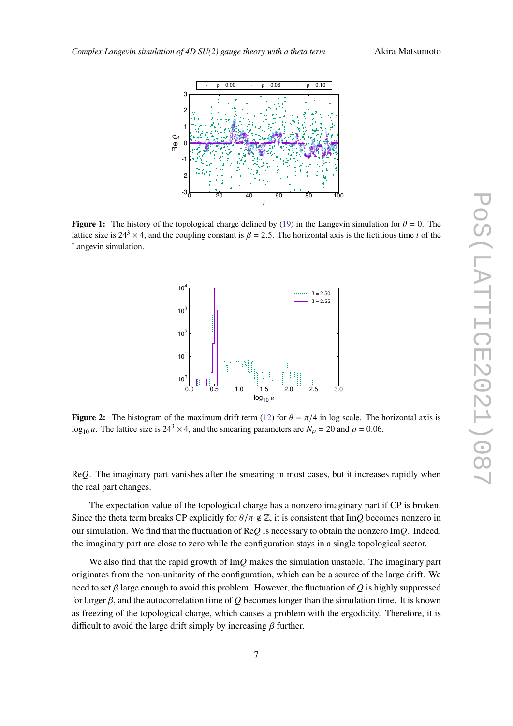<span id="page-6-0"></span>

<span id="page-6-1"></span>**Figure 1:** The history of the topological charge defined by [\(19\)](#page-4-4) in the Langevin simulation for  $\theta = 0$ . The lattice size is  $24^3 \times 4$ , and the coupling constant is  $\beta = 2.5$ . The horizontal axis is the fictitious time t of the Langevin simulation.



**Figure 2:** The histogram of the maximum drift term [\(12\)](#page-3-2) for  $\theta = \pi/4$  in log scale. The horizontal axis is  $\log_{10} u$ . The lattice size is  $24^3 \times 4$ , and the smearing parameters are  $N_\rho = 20$  and  $\rho = 0.06$ .

 $ReO$ . The imaginary part vanishes after the smearing in most cases, but it increases rapidly when the real part changes.

The expectation value of the topological charge has a nonzero imaginary part if CP is broken. Since the theta term breaks CP explicitly for  $\theta/\pi \notin \mathbb{Z}$ , it is consistent that ImQ becomes nonzero in our simulation. We find that the fluctuation of ReQ is necessary to obtain the nonzero ImQ. Indeed, the imaginary part are close to zero while the configuration stays in a single topological sector.

We also find that the rapid growth of  $Im\Omega$  makes the simulation unstable. The imaginary part originates from the non-unitarity of the configuration, which can be a source of the large drift. We need to set  $\beta$  large enough to avoid this problem. However, the fluctuation of O is highly suppressed for larger  $\beta$ , and the autocorrelation time of  $\alpha$  becomes longer than the simulation time. It is known as freezing of the topological charge, which causes a problem with the ergodicity. Therefore, it is difficult to avoid the large drift simply by increasing  $\beta$  further.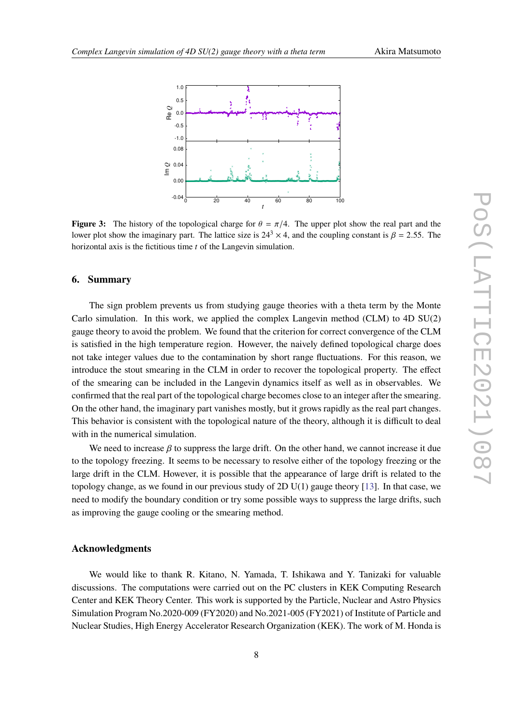<span id="page-7-0"></span>

**Figure 3:** The history of the topological charge for  $\theta = \pi/4$ . The upper plot show the real part and the lower plot show the imaginary part. The lattice size is  $24<sup>3</sup> \times 4$ , and the coupling constant is  $\beta = 2.55$ . The horizontal axis is the fictitious time  $t$  of the Langevin simulation.

### **6. Summary**

The sign problem prevents us from studying gauge theories with a theta term by the Monte Carlo simulation. In this work, we applied the complex Langevin method (CLM) to 4D SU(2) gauge theory to avoid the problem. We found that the criterion for correct convergence of the CLM is satisfied in the high temperature region. However, the naively defined topological charge does not take integer values due to the contamination by short range fluctuations. For this reason, we introduce the stout smearing in the CLM in order to recover the topological property. The effect of the smearing can be included in the Langevin dynamics itself as well as in observables. We confirmed that the real part of the topological charge becomes close to an integer after the smearing. On the other hand, the imaginary part vanishes mostly, but it grows rapidly as the real part changes. This behavior is consistent with the topological nature of the theory, although it is difficult to deal with in the numerical simulation.

We need to increase  $\beta$  to suppress the large drift. On the other hand, we cannot increase it due to the topology freezing. It seems to be necessary to resolve either of the topology freezing or the large drift in the CLM. However, it is possible that the appearance of large drift is related to the topology change, as we found in our previous study of 2D U(1) gauge theory [\[13\]](#page-8-9). In that case, we need to modify the boundary condition or try some possible ways to suppress the large drifts, such as improving the gauge cooling or the smearing method.

#### **Acknowledgments**

We would like to thank R. Kitano, N. Yamada, T. Ishikawa and Y. Tanizaki for valuable discussions. The computations were carried out on the PC clusters in KEK Computing Research Center and KEK Theory Center. This work is supported by the Particle, Nuclear and Astro Physics Simulation Program No.2020-009 (FY2020) and No.2021-005 (FY2021) of Institute of Particle and Nuclear Studies, High Energy Accelerator Research Organization (KEK). The work of M. Honda is